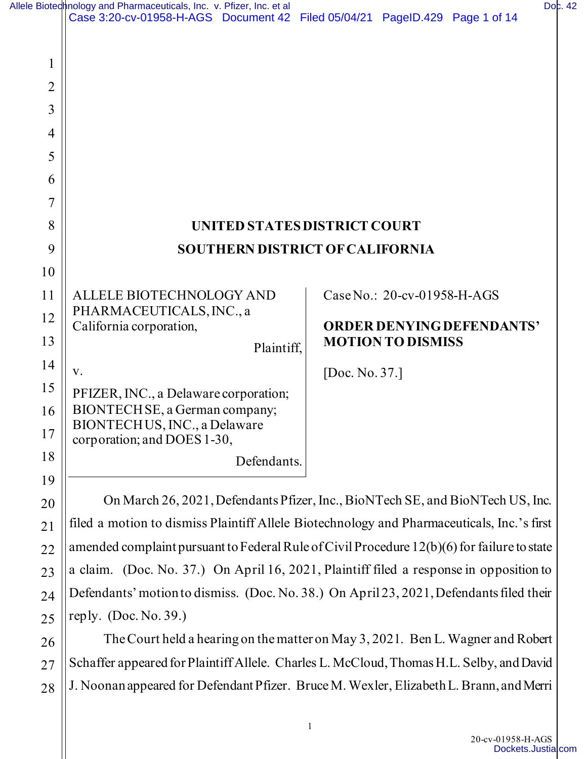|                                              | Allele Bioted nology and Pharmaceuticals, Inc. v. Pfizer, Inc. et al<br>Case 3:20-cv-01958-H-AGS Document 42 Filed 05/04/21 PageID.429 Page 1 of 14 |                                  | Doc. 42 |
|----------------------------------------------|-----------------------------------------------------------------------------------------------------------------------------------------------------|----------------------------------|---------|
| 1<br>2<br>3<br>$\overline{4}$<br>5<br>6<br>7 |                                                                                                                                                     |                                  |         |
| 8                                            |                                                                                                                                                     | UNITED STATES DISTRICT COURT     |         |
| 9                                            | <b>SOUTHERN DISTRICT OF CALIFORNIA</b>                                                                                                              |                                  |         |
| 10                                           |                                                                                                                                                     |                                  |         |
| 11                                           | ALLELE BIOTECHNOLOGY AND                                                                                                                            | Case No.: 20-cv-01958-H-AGS      |         |
| 12                                           | PHARMACEUTICALS, INC., a<br>California corporation,                                                                                                 | <b>ORDER DENYING DEFENDANTS'</b> |         |
| 13                                           | Plaintiff,                                                                                                                                          | <b>MOTION TO DISMISS</b>         |         |
| 14                                           | V.                                                                                                                                                  | [Doc. No. 37.]                   |         |
| 15                                           | PFIZER, INC., a Delaware corporation;                                                                                                               |                                  |         |
| 16<br>17                                     | BIONTECHSE, a German company;<br>BIONTECHUS, INC., a Delaware                                                                                       |                                  |         |
| 18                                           | corporation; and DOES 1-30,                                                                                                                         |                                  |         |
| 19                                           | Defendants.                                                                                                                                         |                                  |         |
| 20                                           | On March 26, 2021, Defendants Pfizer, Inc., BioNTech SE, and BioNTech US, Inc.                                                                      |                                  |         |
| 21                                           | filed a motion to dismiss Plaintiff Allele Biotechnology and Pharmaceuticals, Inc.'s first                                                          |                                  |         |
| 22                                           | amended complaint pursuant to Federal Rule of Civil Procedure 12(b)(6) for failure to state                                                         |                                  |         |
| 23                                           | a claim. (Doc. No. 37.) On April 16, 2021, Plaintiff filed a response in opposition to                                                              |                                  |         |
| 24                                           | Defendants' motion to dismiss. (Doc. No. 38.) On April 23, 2021, Defendants filed their                                                             |                                  |         |
| 25                                           | reply. $(Doc. No. 39.)$                                                                                                                             |                                  |         |
| 26                                           | The Court held a hearing on the matter on May 3, 2021. Ben L. Wagner and Robert                                                                     |                                  |         |

27 28 Schaffer appeared for Plaintiff Allele. Charles L. McCloud, Thomas H.L. Selby, and David J. Noonan appeared for Defendant Pfizer. Bruce M. Wexler, Elizabeth L. Brann, and Merri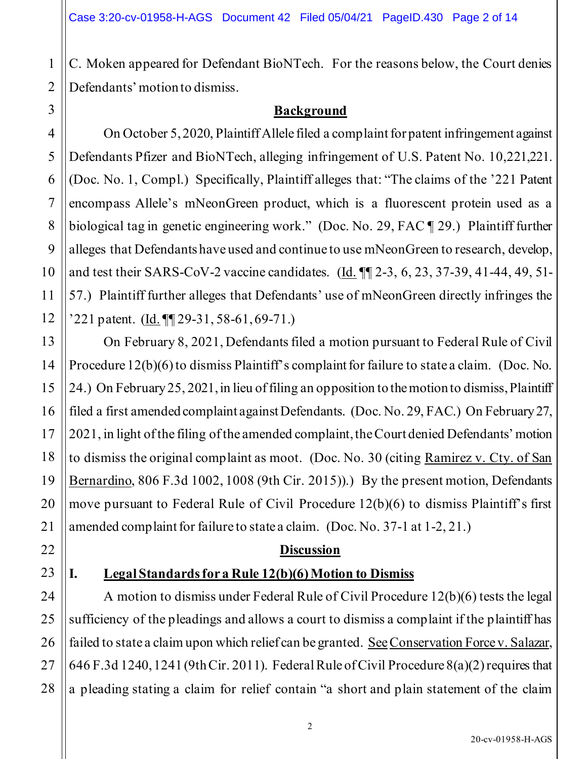C. Moken appeared for Defendant BioNTech. For the reasons below, the Court denies Defendants' motion to dismiss.

### **Background**

On October 5, 2020, Plaintiff Allele filed a complaint for patent infringement against Defendants Pfizer and BioNTech, alleging infringement of U.S. Patent No. 10,221,221. (Doc. No. 1, Compl.) Specifically, Plaintiff alleges that: "The claims of the '221 Patent encompass Allele's mNeonGreen product, which is a fluorescent protein used as a biological tag in genetic engineering work." (Doc. No. 29, FAC ¶ 29.) Plaintiff further alleges that Defendants have used and continue to use mNeonGreen to research, develop, and test their SARS-CoV-2 vaccine candidates. (Id. ¶¶ 2-3, 6, 23, 37-39, 41-44, 49, 51- 57.) Plaintiff further alleges that Defendants' use of mNeonGreen directly infringes the '221 patent. (Id. ¶¶ 29-31, 58-61, 69-71.)

On February 8, 2021, Defendants filed a motion pursuant to Federal Rule of Civil Procedure 12(b)(6) to dismiss Plaintiff's complaint for failure to state a claim. (Doc. No. 24.) On February 25, 2021, in lieu of filing an opposition to the motion to dismiss, Plaintiff filed a first amended complaint against Defendants. (Doc. No. 29, FAC.) On February 27, 2021, in light of the filing of the amended complaint, the Court denied Defendants' motion to dismiss the original complaint as moot. (Doc. No. 30 (citing Ramirez v. Cty. of San Bernardino, 806 F.3d 1002, 1008 (9th Cir. 2015)).) By the present motion, Defendants move pursuant to Federal Rule of Civil Procedure 12(b)(6) to dismiss Plaintiff's first amended complaint for failure to state a claim. (Doc. No. 37-1 at 1-2, 21.)

## **Discussion**

# **I. Legal Standards for a Rule 12(b)(6) Motion to Dismiss**

A motion to dismiss under Federal Rule of Civil Procedure 12(b)(6) tests the legal sufficiency of the pleadings and allows a court to dismiss a complaint if the plaintiff has failed to state a claim upon which relief can be granted. See Conservation Force v. Salazar, 646 F.3d 1240, 1241 (9th Cir. 2011). Federal Rule of Civil Procedure 8(a)(2) requires that a pleading stating a claim for relief contain "a short and plain statement of the claim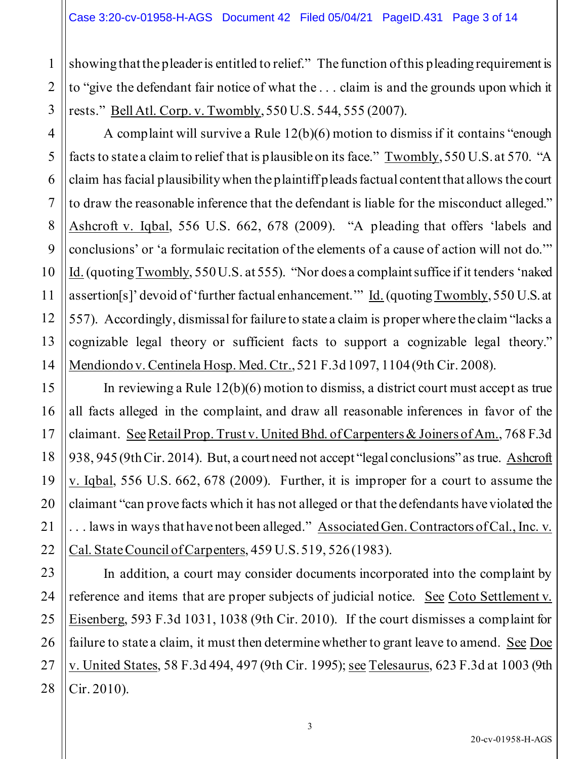1

2

3

4

5

6

7

8

9

10

11

12

13

14

15

16

17

18

19

20

21

22

23

24

25

26

27

28

showing that the pleader is entitled to relief." The function of this pleading requirement is to "give the defendant fair notice of what the . . . claim is and the grounds upon which it rests." Bell Atl. Corp. v. Twombly, 550 U.S. 544, 555 (2007).

A complaint will survive a Rule 12(b)(6) motion to dismiss if it contains "enough facts to state a claim to relief that is plausible on its face." Twombly, 550 U.S. at 570. "A claim has facial plausibility when the plaintiff pleads factual content that allows the court to draw the reasonable inference that the defendant is liable for the misconduct alleged." Ashcroft v. Iqbal, 556 U.S. 662, 678 (2009). "A pleading that offers 'labels and conclusions' or 'a formulaic recitation of the elements of a cause of action will not do.'" Id. (quoting Twombly, 550 U.S. at 555). "Nor does a complaint suffice if it tenders 'naked assertion[s]' devoid of 'further factual enhancement.'" Id. (quoting Twombly, 550 U.S. at 557). Accordingly, dismissal for failure to state a claim is proper where the claim "lacks a cognizable legal theory or sufficient facts to support a cognizable legal theory." Mendiondo v. Centinela Hosp. Med. Ctr., 521 F.3d 1097, 1104 (9th Cir. 2008).

In reviewing a Rule 12(b)(6) motion to dismiss, a district court must accept as true all facts alleged in the complaint, and draw all reasonable inferences in favor of the claimant. SeeRetail Prop. Trust v. United Bhd. of Carpenters & Joiners of Am., 768 F.3d 938, 945 (9th Cir. 2014). But, a court need not accept "legal conclusions" as true. Ashcroft v. Iqbal, 556 U.S. 662, 678 (2009). Further, it is improper for a court to assume the claimant "can prove facts which it has not alleged or that the defendants have violated the . . . laws in ways that have not been alleged." Associated Gen. Contractors of Cal., Inc. v. Cal. State Council of Carpenters, 459 U.S. 519, 526 (1983).

In addition, a court may consider documents incorporated into the complaint by reference and items that are proper subjects of judicial notice. See Coto Settlement v. Eisenberg, 593 F.3d 1031, 1038 (9th Cir. 2010). If the court dismisses a complaint for failure to state a claim, it must then determine whether to grant leave to amend. See Doe v. United States, 58 F.3d 494, 497 (9th Cir. 1995); see Telesaurus, 623 F.3d at 1003 (9th Cir. 2010).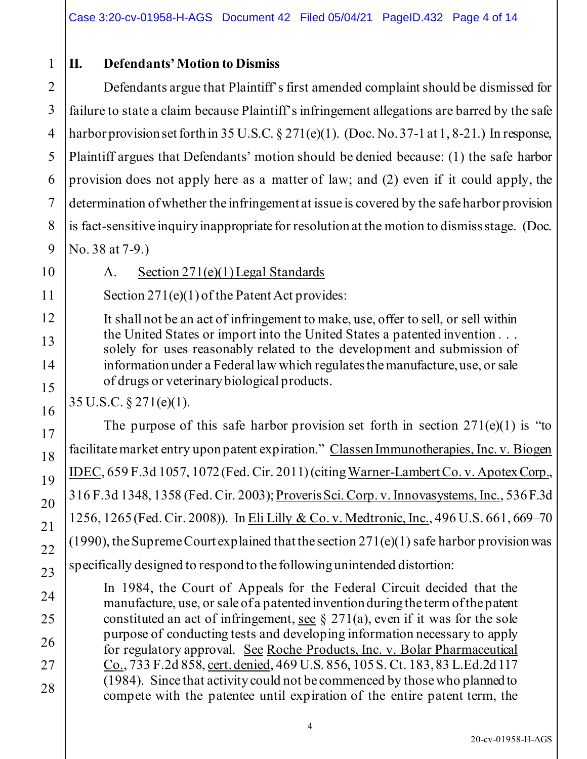# **II. Defendants' Motion to Dismiss**

Defendants argue that Plaintiff's first amended complaint should be dismissed for failure to state a claim because Plaintiff's infringement allegations are barred by the safe harbor provision set forth in 35 U.S.C.  $\S 271(e)(1)$ . (Doc. No. 37-1 at 1, 8-21.) In response, Plaintiff argues that Defendants' motion should be denied because: (1) the safe harbor provision does not apply here as a matter of law; and (2) even if it could apply, the determination of whether the infringement at issue is covered by the safe harbor provision is fact-sensitive inquiry inappropriate for resolution at the motion to dismiss stage. (Doc. No. 38 at 7-9.)

1

A. Section 271(e)(1) Legal Standards

Section 271(e)(1) of the Patent Act provides:

It shall not be an act of infringement to make, use, offer to sell, or sell within the United States or import into the United States a patented invention . . . solely for uses reasonably related to the development and submission of information under a Federal law which regulates the manufacture, use, or sale of drugs or veterinary biological products.

35 U.S.C. § 271(e)(1).

The purpose of this safe harbor provision set forth in section  $271(e)(1)$  is "to facilitate market entry upon patent expiration." Classen Immunotherapies, Inc. v. Biogen IDEC, 659 F.3d 1057, 1072 (Fed. Cir. 2011)(citing Warner-Lambert Co. v. Apotex Corp., 316 F.3d 1348, 1358 (Fed. Cir. 2003); Proveris Sci. Corp. v. Innovasystems, Inc., 536 F.3d 1256, 1265 (Fed. Cir. 2008)). In Eli Lilly & Co. v. Medtronic, Inc., 496 U.S. 661, 669–70 (1990), the Supreme Court explained that the section  $271(e)(1)$  safe harbor provision was specifically designed to respond to the following unintended distortion:

In 1984, the Court of Appeals for the Federal Circuit decided that the manufacture, use, or sale of a patented invention during the term of the patent constituted an act of infringement, see  $\S 271(a)$ , even if it was for the sole purpose of conducting tests and developing information necessary to apply for regulatory approval. See Roche Products, Inc. v. Bolar Pharmaceutical Co., 733 F.2d 858, cert. denied, 469 U.S. 856, 105 S. Ct. 183, 83 L.Ed.2d 117 (1984). Since that activity could not be commenced by those who planned to compete with the patentee until expiration of the entire patent term, the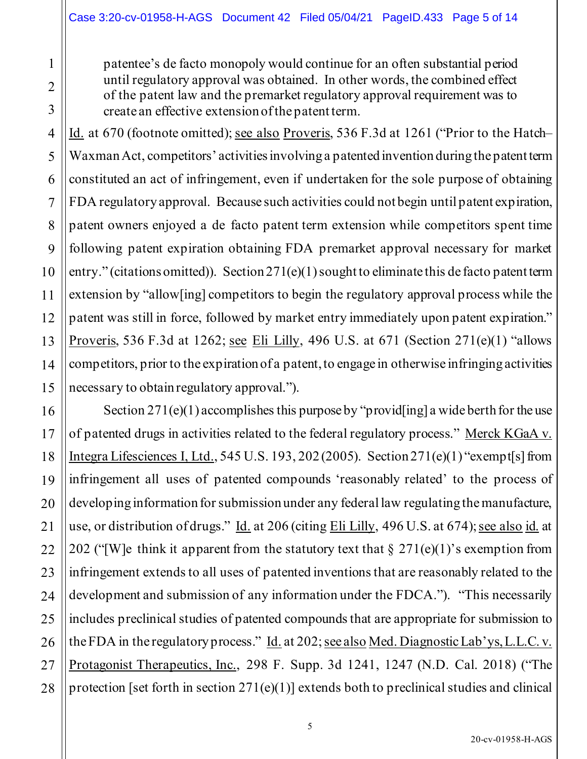patentee's de facto monopoly would continue for an often substantial period until regulatory approval was obtained. In other words, the combined effect of the patent law and the premarket regulatory approval requirement was to create an effective extension of the patent term.

Id. at 670 (footnote omitted); see also Proveris, 536 F.3d at 1261 ("Prior to the Hatch– Waxman Act, competitors' activities involving a patented invention during the patent term constituted an act of infringement, even if undertaken for the sole purpose of obtaining FDA regulatory approval. Because such activities could not begin until patent expiration, patent owners enjoyed a de facto patent term extension while competitors spent time following patent expiration obtaining FDA premarket approval necessary for market entry." (citations omitted)). Section 271(e)(1) sought to eliminate this de facto patent term extension by "allow[ing] competitors to begin the regulatory approval process while the patent was still in force, followed by market entry immediately upon patent expiration." Proveris, 536 F.3d at 1262; see Eli Lilly, 496 U.S. at 671 (Section 271(e)(1) "allows competitors, prior to the expiration of a patent, to engage in otherwise infringing activities necessary to obtain regulatory approval.").

Section  $271(e)(1)$  accomplishes this purpose by "provid[ing] a wide berth for the use of patented drugs in activities related to the federal regulatory process." Merck KGaA v. Integra Lifesciences I, Ltd., 545 U.S. 193, 202 (2005). Section  $271(e)(1)$  "exempt[s] from infringement all uses of patented compounds 'reasonably related' to the process of developing information for submission under any federal law regulating the manufacture, use, or distribution of drugs." Id. at 206 (citing Eli Lilly, 496 U.S. at 674); see also id. at 202 ("[W]e think it apparent from the statutory text that  $\S 271(e)(1)$ 's exemption from infringement extends to all uses of patented inventions that are reasonably related to the development and submission of any information under the FDCA."). "This necessarily includes preclinical studies of patented compounds that are appropriate for submission to the FDA in the regulatory process." Id. at 202; see also Med. Diagnostic Lab'ys, L.L.C. v. Protagonist Therapeutics, Inc., 298 F. Supp. 3d 1241, 1247 (N.D. Cal. 2018) ("The protection [set forth in section  $271(e)(1)$ ] extends both to preclinical studies and clinical

1

2

3

4

5

6

7

8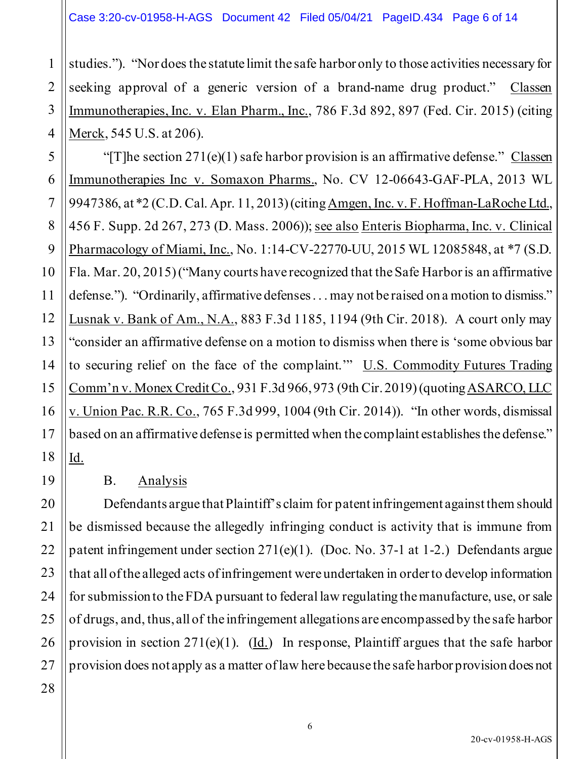1 2 3 4 studies."). "Nor does the statute limit the safe harbor only to those activities necessary for seeking approval of a generic version of a brand-name drug product." Classen Immunotherapies, Inc. v. Elan Pharm., Inc., 786 F.3d 892, 897 (Fed. Cir. 2015) (citing Merck, 545 U.S. at 206).

5 6 7 "[T]he section  $271(e)(1)$  safe harbor provision is an affirmative defense." Classen Immunotherapies Inc v. Somaxon Pharms., No. CV 12-06643-GAF-PLA, 2013 WL 9947386, at \*2 (C.D. Cal. Apr. 11, 2013) (citing Amgen, Inc. v. F. Hoffman-LaRoche Ltd., 456 F. Supp. 2d 267, 273 (D. Mass. 2006)); see also Enteris Biopharma, Inc. v. Clinical Pharmacology of Miami, Inc., No. 1:14-CV-22770-UU, 2015 WL 12085848, at \*7 (S.D. Fla. Mar. 20, 2015) ("Many courts have recognized that the Safe Harbor is an affirmative defense."). "Ordinarily, affirmative defenses . . . may not be raised on a motion to dismiss." Lusnak v. Bank of Am., N.A., 883 F.3d 1185, 1194 (9th Cir. 2018). A court only may "consider an affirmative defense on a motion to dismiss when there is 'some obvious bar to securing relief on the face of the complaint.'" U.S. Commodity Futures Trading Comm'n v. Monex Credit Co., 931 F.3d 966, 973 (9th Cir. 2019)(quoting ASARCO, LLC v. Union Pac. R.R. Co., 765 F.3d 999, 1004 (9th Cir. 2014)). "In other words, dismissal based on an affirmative defense is permitted when the complaint establishes the defense." Id.

## B. Analysis

Defendants argue that Plaintiff's claim for patent infringement against them should be dismissed because the allegedly infringing conduct is activity that is immune from patent infringement under section 271(e)(1). (Doc. No. 37-1 at 1-2.) Defendants argue that all of the alleged acts of infringement were undertaken in order to develop information for submission to the FDA pursuant to federal law regulating the manufacture, use, or sale of drugs, and, thus, all of the infringement allegations are encompassed by the safe harbor provision in section  $271(e)(1)$ . (Id.) In response, Plaintiff argues that the safe harbor provision does not apply as a matter of law here because the safe harbor provision does not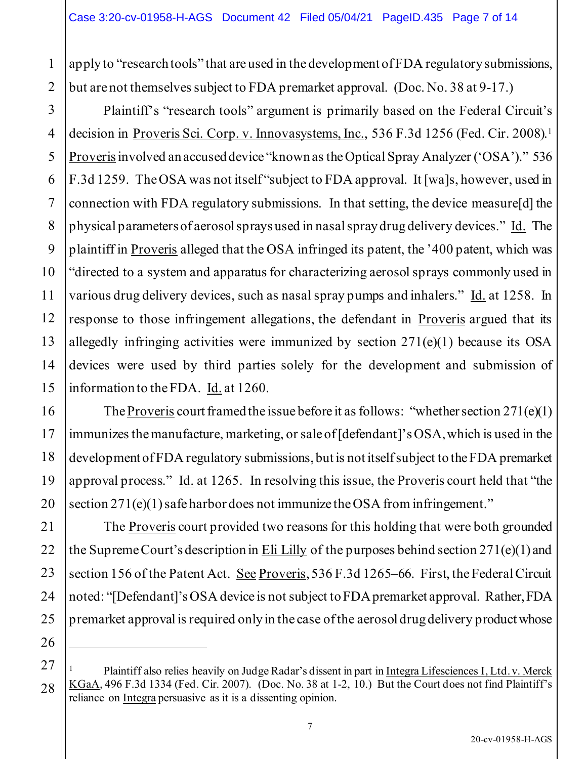apply to "research tools" that are used in the development of FDA regulatory submissions, but are not themselves subject to FDA premarket approval. (Doc. No. 38 at 9-17.)

Plaintiff's "research tools" argument is primarily based on the Federal Circuit's decision in Proveris Sci. Corp. v. Innovasystems, Inc., 536 F.3d 1256 (Fed. Cir. 2008).<sup>1</sup> Proveris involved an accused device "known as the Optical Spray Analyzer ('OSA')." 536 F.3d 1259. The OSA was not itself "subject to FDA approval. It [wa]s, however, used in connection with FDA regulatory submissions. In that setting, the device measure[d] the physical parameters of aerosol sprays used in nasal spray drug delivery devices." Id. The plaintiff in Proveris alleged that the OSA infringed its patent, the '400 patent, which was "directed to a system and apparatus for characterizing aerosol sprays commonly used in various drug delivery devices, such as nasal spray pumps and inhalers." Id. at 1258. In response to those infringement allegations, the defendant in Proveris argued that its allegedly infringing activities were immunized by section 271(e)(1) because its OSA devices were used by third parties solely for the development and submission of information to the FDA. Id. at 1260.

The Proveris court framed the issue before it as follows: "whether section  $271(e)(1)$ immunizes the manufacture, marketing, or sale of [defendant]'s OSA, which is used in the development of FDA regulatory submissions, but is not itself subject to the FDA premarket approval process." Id. at 1265. In resolving this issue, the Proveris court held that "the section 271(e)(1) safe harbor does not immunize the OSA from infringement."

The Proveris court provided two reasons for this holding that were both grounded the Supreme Court's description in Eli Lilly of the purposes behind section 271(e)(1) and section 156 of the Patent Act. See Proveris, 536 F.3d 1265–66. First, the Federal Circuit noted: "[Defendant]'sOSA device is not subject to FDA premarket approval. Rather, FDA premarket approval is required only in the case of the aerosol drug delivery product whose

1

2

<sup>1</sup> Plaintiff also relies heavily on Judge Radar's dissent in part in Integra Lifesciences I, Ltd. v. Merck KGaA, 496 F.3d 1334 (Fed. Cir. 2007). (Doc. No. 38 at 1-2, 10.) But the Court does not find Plaintiff's reliance on Integra persuasive as it is a dissenting opinion.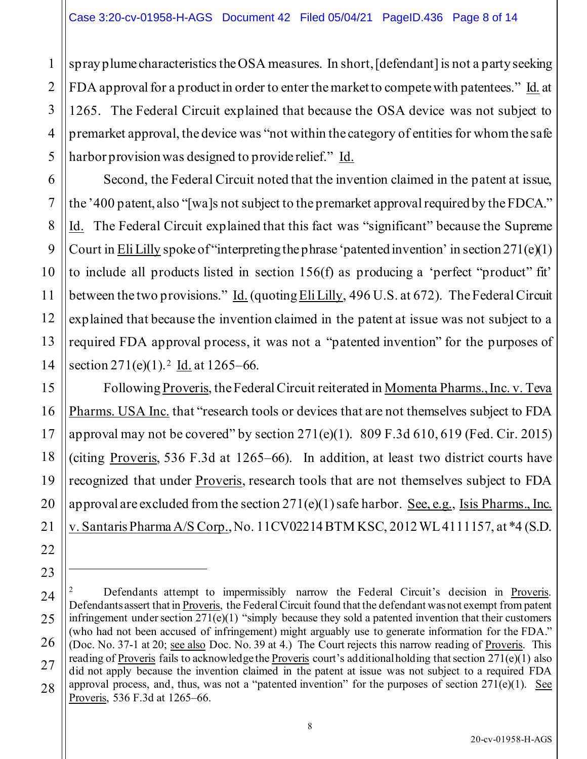1

2

3

4

5

6

7

8

9

10

11

12

13

14

15

16

17

18

19

20

21

22

23

24

25

26

27

28

spray plume characteristics the OSA measures. In short, [defendant] is not a party seeking FDA approval for a product in order to enter the market to compete with patentees." Id. at 1265. The Federal Circuit explained that because the OSA device was not subject to premarket approval, the device was "not within the category of entities for whom the safe harbor provision was designed to provide relief." Id.

Second, the Federal Circuit noted that the invention claimed in the patent at issue, the '400 patent, also "[wa]s not subject to the premarket approval required by the FDCA." Id. The Federal Circuit explained that this fact was "significant" because the Supreme Court in Eli Lilly spoke of "interpreting the phrase 'patented invention' in section  $271(e)(1)$ to include all products listed in section 156(f) as producing a 'perfect "product" fit' between the two provisions." Id. (quoting Eli Lilly, 496 U.S. at 672). The Federal Circuit explained that because the invention claimed in the patent at issue was not subject to a required FDA approval process, it was not a "patented invention" for the purposes of section 271(e)(1).<sup>2</sup> Id. at 1265–66.

Following Proveris, the Federal Circuit reiterated in Momenta Pharms., Inc. v. Teva Pharms. USA Inc. that "research tools or devices that are not themselves subject to FDA approval may not be covered" by section  $271(e)(1)$ . 809 F.3d 610, 619 (Fed. Cir. 2015) (citing Proveris, 536 F.3d at 1265–66). In addition, at least two district courts have recognized that under Proveris, research tools that are not themselves subject to FDA approval are excluded from the section  $271(e)(1)$  safe harbor. See, e.g., Isis Pharms., Inc. v. Santaris Pharma A/S Corp., No. 11CV02214 BTM KSC, 2012 WL 4111157, at \*4 (S.D.

<sup>2</sup> Defendants attempt to impermissibly narrow the Federal Circuit's decision in Proveris. Defendants assert that in Proveris, the Federal Circuit found that the defendant was not exempt from patent infringement under section  $271(e)(1)$  "simply because they sold a patented invention that their customers (who had not been accused of infringement) might arguably use to generate information for the FDA." (Doc. No. 37-1 at 20; see also Doc. No. 39 at 4.) The Court rejects this narrow reading of Proveris. This reading of Proveris fails to acknowledge the Proveris court's additional holding that section 271(e)(1) also did not apply because the invention claimed in the patent at issue was not subject to a required FDA approval process, and, thus, was not a "patented invention" for the purposes of section 271(e)(1). See Proveris, 536 F.3d at 1265–66.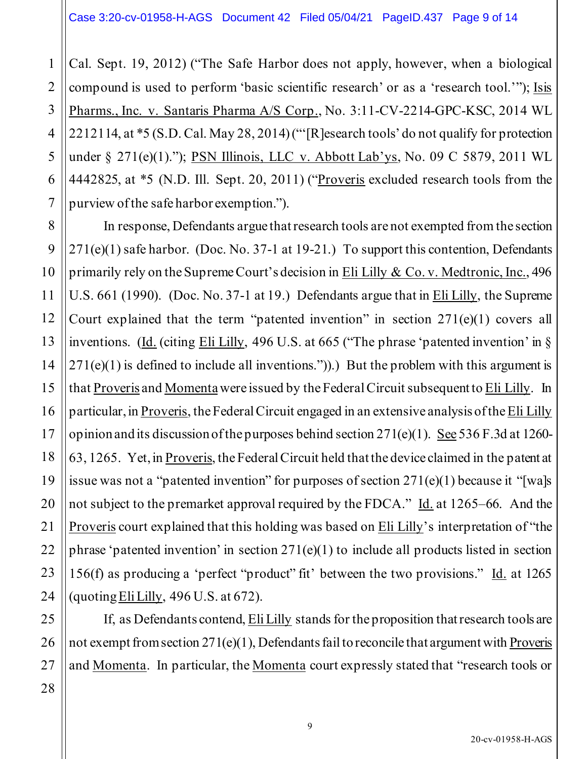1 2 Cal. Sept. 19, 2012) ("The Safe Harbor does not apply, however, when a biological compound is used to perform 'basic scientific research' or as a 'research tool.'"); Isis Pharms., Inc. v. Santaris Pharma A/S Corp., No. 3:11-CV-2214-GPC-KSC, 2014 WL 2212114, at \*5 (S.D. Cal. May 28, 2014) ("'[R]esearch tools' do not qualify for protection under § 271(e)(1)."); PSN Illinois, LLC v. Abbott Lab'ys, No. 09 C 5879, 2011 WL 4442825, at \*5 (N.D. Ill. Sept. 20, 2011) ("Proveris excluded research tools from the purview of the safe harbor exemption.").

In response, Defendants argue that research tools are not exempted from the section  $271(e)(1)$  safe harbor. (Doc. No. 37-1 at 19-21.) To support this contention, Defendants primarily rely on the Supreme Court's decision in Eli Lilly & Co. v. Medtronic, Inc., 496 U.S. 661 (1990). (Doc. No. 37-1 at 19.) Defendants argue that in Eli Lilly, the Supreme Court explained that the term "patented invention" in section  $271(e)(1)$  covers all inventions. (Id. (citing Eli Lilly, 496 U.S. at 665 ("The phrase 'patented invention' in §  $271(e)(1)$  is defined to include all inventions.").) But the problem with this argument is that Proveris and Momentawere issued by the Federal Circuit subsequent to Eli Lilly. In particular, in Proveris, the Federal Circuit engaged in an extensive analysis of the Eli Lilly opinion and its discussion of the purposes behind section 271(e)(1). See 536 F.3d at 1260- 63, 1265. Yet, in Proveris, the Federal Circuit held that the device claimed in the patent at issue was not a "patented invention" for purposes of section 271(e)(1) because it "[wa]s not subject to the premarket approval required by the FDCA." Id. at 1265–66. And the Proveris court explained that this holding was based on Eli Lilly's interpretation of "the phrase 'patented invention' in section  $271(e)(1)$  to include all products listed in section 156(f) as producing a 'perfect "product" fit' between the two provisions." Id. at 1265 (quoting Eli Lilly, 496 U.S. at 672).

If, as Defendants contend, Eli Lilly stands for the proposition that research tools are not exempt from section 271(e)(1), Defendants fail to reconcile that argument with Proveris and Momenta. In particular, the Momenta court expressly stated that "research tools or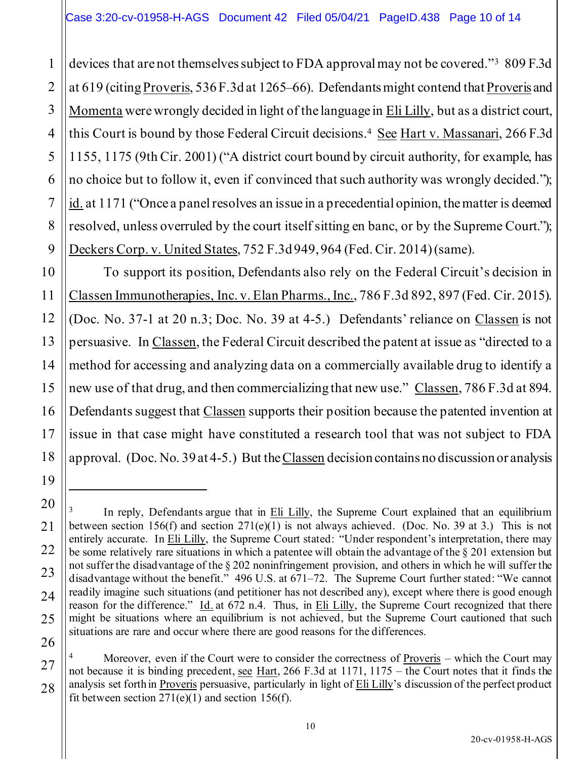1

2

3

5

7

8

9

10

11

12

13

14

15

16

17

18

19

27

28

4 6 devices that are not themselves subject to FDA approval may not be covered."<sup>3</sup> 809 F.3d at 619 (citing Proveris, 536 F.3d at 1265–66). Defendants might contend that Proveris and Momenta were wrongly decided in light of the language in Eli Lilly, but as a district court, this Court is bound by those Federal Circuit decisions.<sup>4</sup> See Hart v. Massanari, 266 F.3d 1155, 1175 (9th Cir. 2001) ("A district court bound by circuit authority, for example, has no choice but to follow it, even if convinced that such authority was wrongly decided."); id. at 1171 ("Once a panel resolves an issue in a precedential opinion, the matter is deemed resolved, unless overruled by the court itself sitting en banc, or by the Supreme Court."); Deckers Corp. v. United States, 752 F.3d 949, 964 (Fed. Cir. 2014)(same).

To support its position, Defendants also rely on the Federal Circuit's decision in Classen Immunotherapies, Inc. v. Elan Pharms., Inc., 786 F.3d 892, 897 (Fed. Cir. 2015). (Doc. No. 37-1 at 20 n.3; Doc. No. 39 at 4-5.) Defendants' reliance on Classen is not persuasive. In Classen, the Federal Circuit described the patent at issue as "directed to a method for accessing and analyzing data on a commercially available drug to identify a new use of that drug, and then commercializing that new use." Classen, 786 F.3d at 894. Defendants suggest that Classen supports their position because the patented invention at issue in that case might have constituted a research tool that was not subject to FDA approval. (Doc. No. 39 at 4-5.) But the Classen decision contains no discussion or analysis

<sup>20</sup> 21 22 23 24 25 26 3 In reply, Defendants argue that in Eli Lilly, the Supreme Court explained that an equilibrium between section 156(f) and section  $271(e)(1)$  is not always achieved. (Doc. No. 39 at 3.) This is not entirely accurate. In Eli Lilly, the Supreme Court stated: "Under respondent's interpretation, there may be some relatively rare situations in which a patentee will obtain the advantage of the § 201 extension but not suffer the disadvantage of the § 202 noninfringement provision, and others in which he will suffer the disadvantage without the benefit." 496 U.S. at 671–72. The Supreme Court further stated: "We cannot readily imagine such situations (and petitioner has not described any), except where there is good enough reason for the difference." Id. at 672 n.4. Thus, in Eli Lilly, the Supreme Court recognized that there might be situations where an equilibrium is not achieved, but the Supreme Court cautioned that such situations are rare and occur where there are good reasons for the differences.

<sup>4</sup> Moreover, even if the Court were to consider the correctness of Proveris – which the Court may not because it is binding precedent, see Hart, 266 F.3d at 1171, 1175 – the Court notes that it finds the analysis set forth in Proveris persuasive, particularly in light of Eli Lilly's discussion of the perfect product fit between section  $271(e)(1)$  and section 156(f).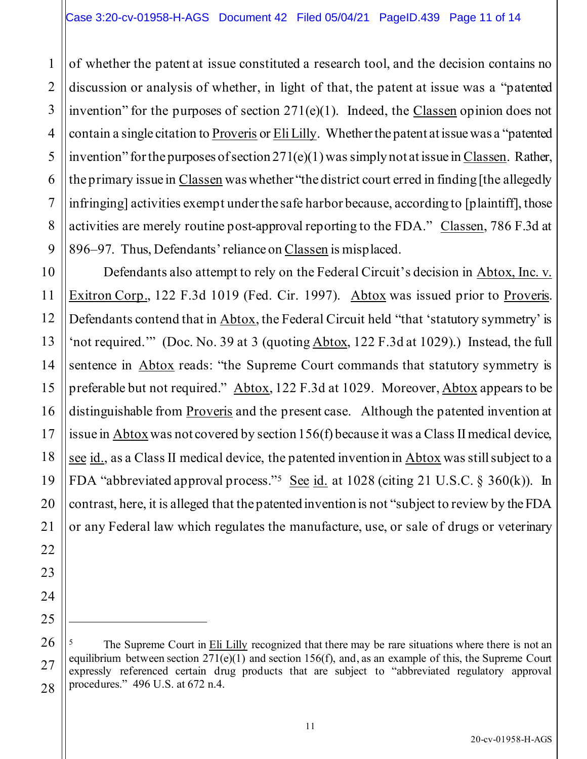1 2 3 4 5 6 7 8 9 of whether the patent at issue constituted a research tool, and the decision contains no discussion or analysis of whether, in light of that, the patent at issue was a "patented invention" for the purposes of section 271(e)(1). Indeed, the Classen opinion does not contain a single citation to Proveris or Eli Lilly. Whether the patent at issue was a "patented invention" for the purposes of section  $271(e)(1)$  was simply not at issue in Classen. Rather, the primary issue in Classen was whether "the district court erred in finding [the allegedly infringing] activities exempt under the safe harbor because, according to [plaintiff], those activities are merely routine post-approval reporting to the FDA." Classen, 786 F.3d at 896–97. Thus, Defendants' reliance on Classen is misplaced.

10 12 13 14 15 16 17 18 19 20 Defendants also attempt to rely on the Federal Circuit's decision in Abtox, Inc. v. Exitron Corp., 122 F.3d 1019 (Fed. Cir. 1997). Abtox was issued prior to Proveris. Defendants contend that in Abtox, the Federal Circuit held "that 'statutory symmetry' is 'not required.'" (Doc. No. 39 at 3 (quoting Abtox, 122 F.3d at 1029).) Instead, the full sentence in Abtox reads: "the Supreme Court commands that statutory symmetry is preferable but not required." Abtox, 122 F.3d at 1029. Moreover, Abtox appears to be distinguishable from Proveris and the present case. Although the patented invention at issue in Abtox was not covered by section 156(f) because it was a Class II medical device, see id., as a Class II medical device, the patented invention in Abtox was still subject to a FDA "abbreviated approval process."<sup>5</sup> See  $id.$  at 1028 (citing 21 U.S.C. § 360(k)). In contrast, here, it is alleged that the patented invention is not "subject to review by the FDA or any Federal law which regulates the manufacture, use, or sale of drugs or veterinary

11

21

22

23

24

25

<sup>26</sup> 28 5 The Supreme Court in Eli Lilly recognized that there may be rare situations where there is not an equilibrium between section  $271(e)(1)$  and section 156(f), and, as an example of this, the Supreme Court expressly referenced certain drug products that are subject to "abbreviated regulatory approval procedures." 496 U.S. at 672 n.4.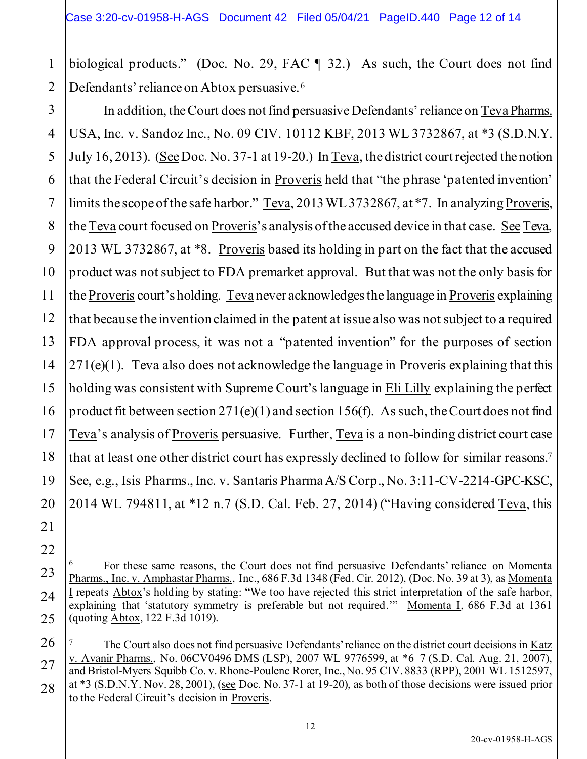1 2 biological products." (Doc. No. 29, FAC ¶ 32.) As such, the Court does not find Defendants' reliance on Abtox persuasive.<sup>6</sup>

3 4 5 6 7 8 9 10 11 12 13 14 15 16 17 18 19 20 In addition, the Court does not find persuasive Defendants' reliance on Teva Pharms. USA, Inc. v. Sandoz Inc., No. 09 CIV. 10112 KBF, 2013 WL 3732867, at \*3 (S.D.N.Y. July 16, 2013). (See Doc. No. 37-1 at 19-20.) In Teva, the district court rejected the notion that the Federal Circuit's decision in Proveris held that "the phrase 'patented invention' limits the scope of the safe harbor." Teva, 2013 WL 3732867, at \*7. In analyzing Proveris, the Teva court focused on Proveris's analysis of the accused device in that case. SeeTeva, 2013 WL 3732867, at \*8. Proveris based its holding in part on the fact that the accused product was not subject to FDA premarket approval. But that was not the only basis for the Proveris court's holding. Teva never acknowledges the language in Proveris explaining that because the invention claimed in the patent at issue also was not subject to a required FDA approval process, it was not a "patented invention" for the purposes of section 271(e)(1). Teva also does not acknowledge the language in Proveris explaining that this holding was consistent with Supreme Court's language in Eli Lilly explaining the perfect product fit between section  $271(e)(1)$  and section 156(f). As such, the Court does not find Teva's analysis of Proveris persuasive. Further, Teva is a non-binding district court case that at least one other district court has expressly declined to follow for similar reasons.<sup>7</sup> See, e.g., Isis Pharms., Inc. v. Santaris Pharma A/S Corp., No. 3:11-CV-2214-GPC-KSC, 2014 WL 794811, at \*12 n.7 (S.D. Cal. Feb. 27, 2014) ("Having considered Teva, this

21

22

23

24

25

26

27

<sup>6</sup> For these same reasons, the Court does not find persuasive Defendants' reliance on Momenta Pharms., Inc. v. Amphastar Pharms., Inc., 686 F.3d 1348 (Fed. Cir. 2012), (Doc. No. 39 at 3), as Momenta I repeats Abtox's holding by stating: "We too have rejected this strict interpretation of the safe harbor, explaining that 'statutory symmetry is preferable but not required.'" Momenta I, 686 F.3d at 1361 (quoting Abtox, 122 F.3d 1019).

<sup>7</sup> The Court also does not find persuasive Defendants' reliance on the district court decisions in Katz v. Avanir Pharms., No. 06CV0496 DMS (LSP), 2007 WL 9776599, at \*6–7 (S.D. Cal. Aug. 21, 2007), and Bristol-Myers Squibb Co. v. Rhone-Poulenc Rorer, Inc., No. 95 CIV. 8833 (RPP), 2001 WL 1512597, at \*3 (S.D.N.Y. Nov. 28, 2001), (see Doc. No. 37-1 at 19-20), as both of those decisions were issued prior to the Federal Circuit's decision in Proveris.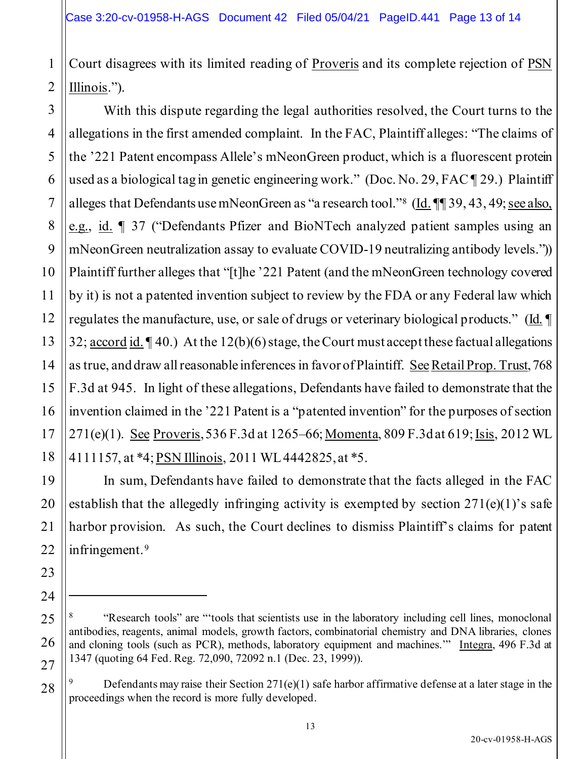1 2 Court disagrees with its limited reading of Proveris and its complete rejection of PSN Illinois.").

3 4 5 6 7 8 9 10 11 12 13 14 15 16 17 18 With this dispute regarding the legal authorities resolved, the Court turns to the allegations in the first amended complaint. In the FAC, Plaintiff alleges: "The claims of the '221 Patent encompass Allele's mNeonGreen product, which is a fluorescent protein used as a biological tag in genetic engineering work." (Doc. No. 29, FAC ¶ 29.) Plaintiff alleges that Defendants use mNeonGreen as "a research tool."<sup>8</sup> (Id. 1139, 43, 49; see also, e.g., id. ¶ 37 ("Defendants Pfizer and BioNTech analyzed patient samples using an mNeonGreen neutralization assay to evaluate COVID-19 neutralizing antibody levels.")) Plaintiff further alleges that "[t]he '221 Patent (and the mNeonGreen technology covered by it) is not a patented invention subject to review by the FDA or any Federal law which regulates the manufacture, use, or sale of drugs or veterinary biological products." (Id. ¶ 32;  $\frac{\text{account id.} \parallel 40.}{\text{At the } 12(b)(6) \text{ stage, the Court must accept these factorial all equations}$ as true, and draw all reasonable inferences in favor of Plaintiff. SeeRetail Prop. Trust, 768 F.3d at 945. In light of these allegations, Defendants have failed to demonstrate that the invention claimed in the '221 Patent is a "patented invention" for the purposes of section 271(e)(1). See Proveris, 536 F.3d at 1265–66; Momenta, 809 F.3d at 619; Isis, 2012 WL 4111157, at \*4; PSN Illinois, 2011 WL 4442825, at \*5.

In sum, Defendants have failed to demonstrate that the facts alleged in the FAC establish that the allegedly infringing activity is exempted by section  $271(e)(1)$ 's safe harbor provision. As such, the Court declines to dismiss Plaintiff's claims for patent infringement.<sup>9</sup>

19

20

21

22

23

24

25

26

27

<sup>8</sup> "Research tools" are "'tools that scientists use in the laboratory including cell lines, monoclonal antibodies, reagents, animal models, growth factors, combinatorial chemistry and DNA libraries, clones and cloning tools (such as PCR), methods, laboratory equipment and machines.'" Integra, 496 F.3d at 1347 (quoting 64 Fed. Reg. 72,090, 72092 n.1 (Dec. 23, 1999)).

<sup>9</sup> Defendants may raise their Section 271(e)(1) safe harbor affirmative defense at a later stage in the proceedings when the record is more fully developed.